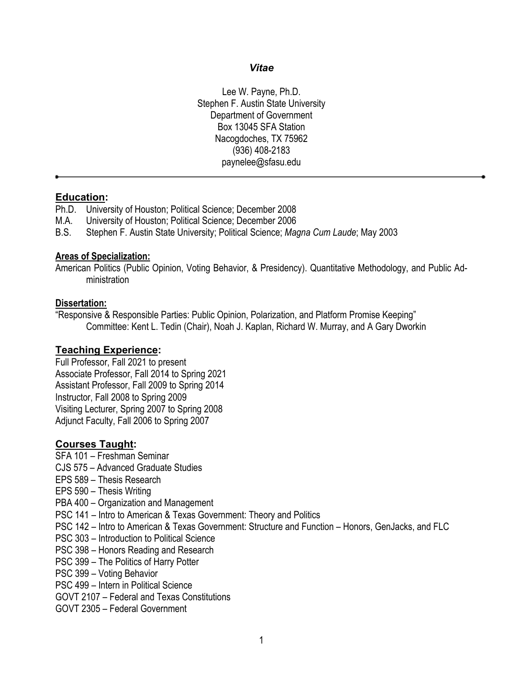#### *Vitae*

Lee W. Payne, Ph.D. Stephen F. Austin State University Department of Government Box 13045 SFA Station Nacogdoches, TX 75962 (936) 408-2183 paynelee@sfasu.edu

#### **Education:**

- Ph.D. University of Houston; Political Science; December 2008
- M.A. University of Houston; Political Science; December 2006
- B.S. Stephen F. Austin State University; Political Science; *Magna Cum Laude*; May 2003

#### **Areas of Specialization:**

American Politics (Public Opinion, Voting Behavior, & Presidency). Quantitative Methodology, and Public Administration

#### **Dissertation:**

"Responsive & Responsible Parties: Public Opinion, Polarization, and Platform Promise Keeping" Committee: Kent L. Tedin (Chair), Noah J. Kaplan, Richard W. Murray, and A Gary Dworkin

### **Teaching Experience:**

Full Professor, Fall 2021 to present Associate Professor, Fall 2014 to Spring 2021 Assistant Professor, Fall 2009 to Spring 2014 Instructor, Fall 2008 to Spring 2009 Visiting Lecturer, Spring 2007 to Spring 2008 Adjunct Faculty, Fall 2006 to Spring 2007

### **Courses Taught:**

- SFA 101 Freshman Seminar
- CJS 575 Advanced Graduate Studies
- EPS 589 Thesis Research
- EPS 590 Thesis Writing
- PBA 400 Organization and Management
- PSC 141 Intro to American & Texas Government: Theory and Politics
- PSC 142 Intro to American & Texas Government: Structure and Function Honors, GenJacks, and FLC
- PSC 303 Introduction to Political Science
- PSC 398 Honors Reading and Research
- PSC 399 The Politics of Harry Potter
- PSC 399 Voting Behavior
- PSC 499 Intern in Political Science
- GOVT 2107 Federal and Texas Constitutions
- GOVT 2305 Federal Government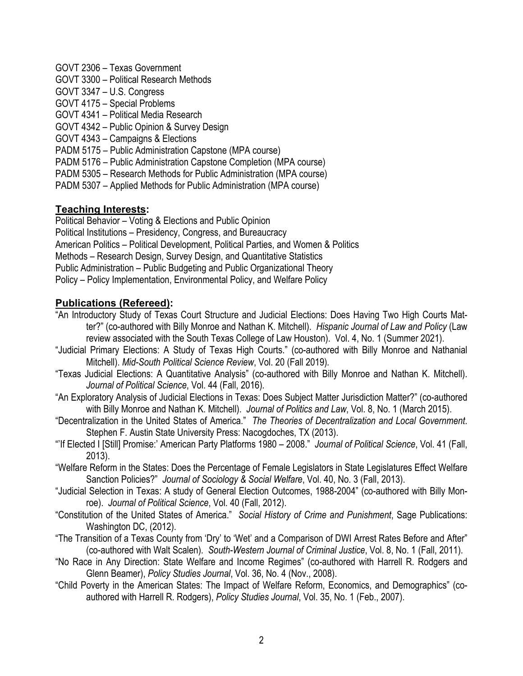GOVT 2306 – Texas Government GOVT 3300 – Political Research Methods GOVT 3347 – U.S. Congress GOVT 4175 – Special Problems GOVT 4341 – Political Media Research GOVT 4342 – Public Opinion & Survey Design GOVT 4343 – Campaigns & Elections PADM 5175 – Public Administration Capstone (MPA course) PADM 5176 – Public Administration Capstone Completion (MPA course) PADM 5305 – Research Methods for Public Administration (MPA course) PADM 5307 – Applied Methods for Public Administration (MPA course)

# **Teaching Interests:**

Political Behavior – Voting & Elections and Public Opinion Political Institutions – Presidency, Congress, and Bureaucracy American Politics – Political Development, Political Parties, and Women & Politics Methods – Research Design, Survey Design, and Quantitative Statistics Public Administration – Public Budgeting and Public Organizational Theory Policy – Policy Implementation, Environmental Policy, and Welfare Policy

# **Publications (Refereed):**

- "An Introductory Study of Texas Court Structure and Judicial Elections: Does Having Two High Courts Matter?" (co-authored with Billy Monroe and Nathan K. Mitchell). *Hispanic Journal of Law and Policy* (Law review associated with the South Texas College of Law Houston). Vol. 4, No. 1 (Summer 2021).
- "Judicial Primary Elections: A Study of Texas High Courts." (co-authored with Billy Monroe and Nathanial Mitchell). *Mid-South Political Science Review*, Vol. 20 (Fall 2019)*.*
- "Texas Judicial Elections: A Quantitative Analysis" (co-authored with Billy Monroe and Nathan K. Mitchell). *Journal of Political Science*, Vol. 44 (Fall, 2016)*.*
- "An Exploratory Analysis of Judicial Elections in Texas: Does Subject Matter Jurisdiction Matter?" (co-authored with Billy Monroe and Nathan K. Mitchell). *Journal of Politics and Law*, Vol. 8, No. 1 (March 2015).
- "Decentralization in the United States of America." *The Theories of Decentralization and Local Government*. Stephen F. Austin State University Press: Nacogdoches, TX (2013).
- "'If Elected I [Still] Promise:' American Party Platforms 1980 2008." *Journal of Political Science*, Vol. 41 (Fall, 2013).
- "Welfare Reform in the States: Does the Percentage of Female Legislators in State Legislatures Effect Welfare Sanction Policies?" *Journal of Sociology & Social Welfare*, Vol. 40, No. 3 (Fall, 2013).
- "Judicial Selection in Texas: A study of General Election Outcomes, 1988-2004" (co-authored with Billy Monroe). *Journal of Political Science*, Vol. 40 (Fall, 2012).
- "Constitution of the United States of America." *Social History of Crime and Punishment*, Sage Publications: Washington DC, (2012).
- "The Transition of a Texas County from 'Dry' to 'Wet' and a Comparison of DWI Arrest Rates Before and After" (co-authored with Walt Scalen). *South-Western Journal of Criminal Justice*, Vol. 8, No. 1 (Fall, 2011).
- "No Race in Any Direction: State Welfare and Income Regimes" (co-authored with Harrell R. Rodgers and Glenn Beamer), *Policy Studies Journal*, Vol. 36, No. 4 (Nov., 2008).
- "Child Poverty in the American States: The Impact of Welfare Reform, Economics, and Demographics" (coauthored with Harrell R. Rodgers), *Policy Studies Journal*, Vol. 35, No. 1 (Feb., 2007).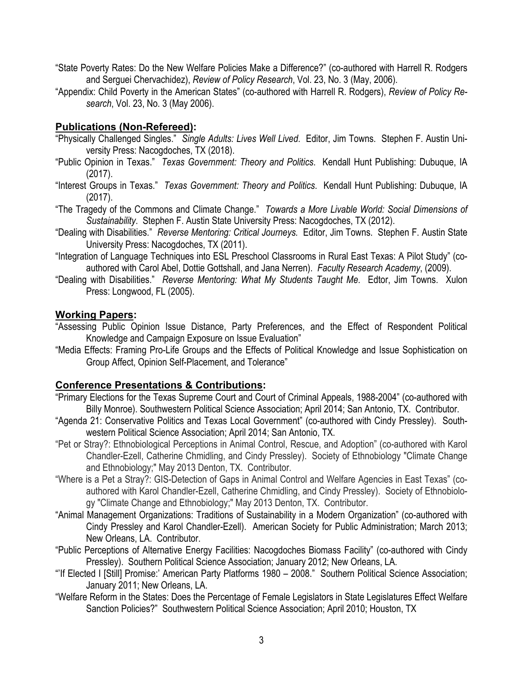- "State Poverty Rates: Do the New Welfare Policies Make a Difference?" (co-authored with Harrell R. Rodgers and Serguei Chervachidez), *Review of Policy Research*, Vol. 23, No. 3 (May, 2006).
- "Appendix: Child Poverty in the American States" (co-authored with Harrell R. Rodgers), *Review of Policy Research*, Vol. 23, No. 3 (May 2006).

## **Publications (Non-Refereed):**

- "Physically Challenged Singles." *Single Adults: Lives Well Lived*. Editor, Jim Towns. Stephen F. Austin University Press: Nacogdoches, TX (2018).
- "Public Opinion in Texas." *Texas Government: Theory and Politics*. Kendall Hunt Publishing: Dubuque, IA (2017).
- "Interest Groups in Texas." *Texas Government: Theory and Politics*. Kendall Hunt Publishing: Dubuque, IA (2017).
- "The Tragedy of the Commons and Climate Change." *Towards a More Livable World: Social Dimensions of Sustainability*. Stephen F. Austin State University Press: Nacogdoches, TX (2012).
- "Dealing with Disabilities." *Reverse Mentoring: Critical Journeys.* Editor, Jim Towns. Stephen F. Austin State University Press: Nacogdoches, TX (2011).
- "Integration of Language Techniques into ESL Preschool Classrooms in Rural East Texas: A Pilot Study" (coauthored with Carol Abel, Dottie Gottshall, and Jana Nerren). *Faculty Research Academy*, (2009).
- "Dealing with Disabilities." *Reverse Mentoring: What My Students Taught Me*. Edtor, Jim Towns. Xulon Press: Longwood, FL (2005).

### **Working Papers:**

- "Assessing Public Opinion Issue Distance, Party Preferences, and the Effect of Respondent Political Knowledge and Campaign Exposure on Issue Evaluation"
- "Media Effects: Framing Pro-Life Groups and the Effects of Political Knowledge and Issue Sophistication on Group Affect, Opinion Self-Placement, and Tolerance"

# **Conference Presentations & Contributions:**

- "Primary Elections for the Texas Supreme Court and Court of Criminal Appeals, 1988-2004" (co-authored with Billy Monroe). Southwestern Political Science Association; April 2014; San Antonio, TX. Contributor.
- "Agenda 21: Conservative Politics and Texas Local Government" (co-authored with Cindy Pressley). Southwestern Political Science Association; April 2014; San Antonio, TX.
- "Pet or Stray?: Ethnobiological Perceptions in Animal Control, Rescue, and Adoption" (co-authored with Karol Chandler-Ezell, Catherine Chmidling, and Cindy Pressley). Society of Ethnobiology "Climate Change and Ethnobiology;" May 2013 Denton, TX. Contributor.
- "Where is a Pet a Stray?: GIS-Detection of Gaps in Animal Control and Welfare Agencies in East Texas" (coauthored with Karol Chandler-Ezell, Catherine Chmidling, and Cindy Pressley). Society of Ethnobiology "Climate Change and Ethnobiology;" May 2013 Denton, TX. Contributor.
- "Animal Management Organizations: Traditions of Sustainability in a Modern Organization" (co-authored with Cindy Pressley and Karol Chandler-Ezell). American Society for Public Administration; March 2013; New Orleans, LA. Contributor.
- "Public Perceptions of Alternative Energy Facilities: Nacogdoches Biomass Facility" (co-authored with Cindy Pressley). Southern Political Science Association; January 2012; New Orleans, LA.
- "'If Elected I [Still] Promise:' American Party Platforms 1980 2008." Southern Political Science Association; January 2011; New Orleans, LA.
- "Welfare Reform in the States: Does the Percentage of Female Legislators in State Legislatures Effect Welfare Sanction Policies?" Southwestern Political Science Association; April 2010; Houston, TX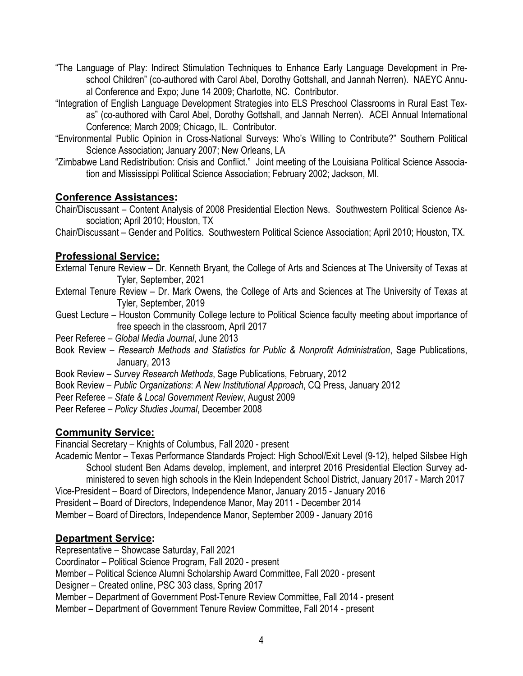- "The Language of Play: Indirect Stimulation Techniques to Enhance Early Language Development in Preschool Children" (co-authored with Carol Abel, Dorothy Gottshall, and Jannah Nerren). NAEYC Annual Conference and Expo; June 14 2009; Charlotte, NC. Contributor.
- "Integration of English Language Development Strategies into ELS Preschool Classrooms in Rural East Texas" (co-authored with Carol Abel, Dorothy Gottshall, and Jannah Nerren). ACEI Annual International Conference; March 2009; Chicago, IL. Contributor.
- "Environmental Public Opinion in Cross-National Surveys: Who's Willing to Contribute?" Southern Political Science Association; January 2007; New Orleans, LA
- "Zimbabwe Land Redistribution: Crisis and Conflict." Joint meeting of the Louisiana Political Science Association and Mississippi Political Science Association; February 2002; Jackson, MI.

## **Conference Assistances:**

Chair/Discussant – Content Analysis of 2008 Presidential Election News. Southwestern Political Science Association; April 2010; Houston, TX

Chair/Discussant – Gender and Politics. Southwestern Political Science Association; April 2010; Houston, TX.

# **Professional Service:**

External Tenure Review – Dr. Kenneth Bryant, the College of Arts and Sciences at The University of Texas at Tyler, September, 2021

- External Tenure Review Dr. Mark Owens, the College of Arts and Sciences at The University of Texas at Tyler, September, 2019
- Guest Lecture Houston Community College lecture to Political Science faculty meeting about importance of free speech in the classroom, April 2017
- Peer Referee *Global Media Journal*, June 2013
- Book Review *Research Methods and Statistics for Public & Nonprofit Administration*, Sage Publications, January, 2013
- Book Review *Survey Research Methods*, Sage Publications, February, 2012
- Book Review *Public Organizations*: *A New Institutional Approach*, CQ Press, January 2012
- Peer Referee *State & Local Government Review*, August 2009

Peer Referee – *Policy Studies Journal*, December 2008

# **Community Service:**

Financial Secretary – Knights of Columbus, Fall 2020 - present

Academic Mentor – Texas Performance Standards Project: High School/Exit Level (9-12), helped Silsbee High School student Ben Adams develop, implement, and interpret 2016 Presidential Election Survey administered to seven high schools in the Klein Independent School District, January 2017 - March 2017

Vice-President – Board of Directors, Independence Manor, January 2015 - January 2016

President – Board of Directors, Independence Manor, May 2011 - December 2014

Member – Board of Directors, Independence Manor, September 2009 - January 2016

# **Department Service:**

Representative – Showcase Saturday, Fall 2021

Coordinator – Political Science Program, Fall 2020 - present

Member – Political Science Alumni Scholarship Award Committee, Fall 2020 - present

Designer – Created online, PSC 303 class, Spring 2017

Member – Department of Government Post-Tenure Review Committee, Fall 2014 - present

Member – Department of Government Tenure Review Committee, Fall 2014 - present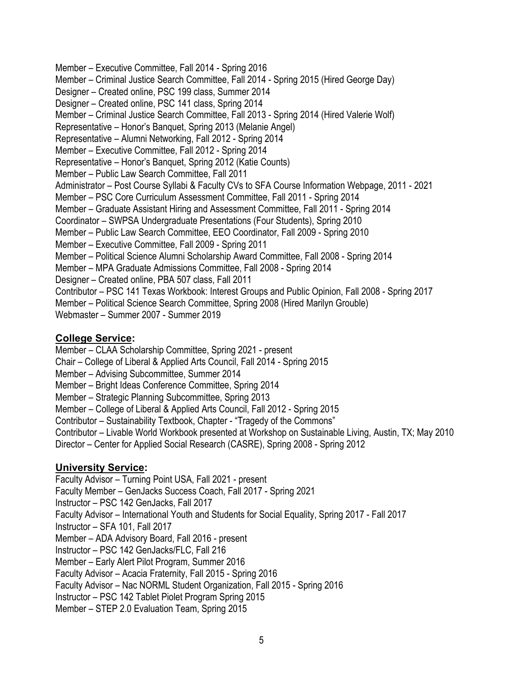Member – Executive Committee, Fall 2014 - Spring 2016 Member – Criminal Justice Search Committee, Fall 2014 - Spring 2015 (Hired George Day) Designer – Created online, PSC 199 class, Summer 2014 Designer – Created online, PSC 141 class, Spring 2014 Member – Criminal Justice Search Committee, Fall 2013 - Spring 2014 (Hired Valerie Wolf) Representative – Honor's Banquet, Spring 2013 (Melanie Angel) Representative – Alumni Networking, Fall 2012 - Spring 2014 Member – Executive Committee, Fall 2012 - Spring 2014 Representative – Honor's Banquet, Spring 2012 (Katie Counts) Member – Public Law Search Committee, Fall 2011 Administrator – Post Course Syllabi & Faculty CVs to SFA Course Information Webpage, 2011 - 2021 Member – PSC Core Curriculum Assessment Committee, Fall 2011 - Spring 2014 Member – Graduate Assistant Hiring and Assessment Committee, Fall 2011 - Spring 2014 Coordinator – SWPSA Undergraduate Presentations (Four Students), Spring 2010 Member – Public Law Search Committee, EEO Coordinator, Fall 2009 - Spring 2010 Member – Executive Committee, Fall 2009 - Spring 2011 Member – Political Science Alumni Scholarship Award Committee, Fall 2008 - Spring 2014 Member – MPA Graduate Admissions Committee, Fall 2008 - Spring 2014 Designer – Created online, PBA 507 class, Fall 2011 Contributor – PSC 141 Texas Workbook: Interest Groups and Public Opinion, Fall 2008 - Spring 2017 Member – Political Science Search Committee, Spring 2008 (Hired Marilyn Grouble) Webmaster – Summer 2007 - Summer 2019

### **College Service:**

Member – CLAA Scholarship Committee, Spring 2021 - present Chair – College of Liberal & Applied Arts Council, Fall 2014 - Spring 2015 Member – Advising Subcommittee, Summer 2014 Member – Bright Ideas Conference Committee, Spring 2014 Member – Strategic Planning Subcommittee, Spring 2013 Member – College of Liberal & Applied Arts Council, Fall 2012 - Spring 2015 Contributor – Sustainability Textbook, Chapter - "Tragedy of the Commons" Contributor – Livable World Workbook presented at Workshop on Sustainable Living, Austin, TX; May 2010 Director – Center for Applied Social Research (CASRE), Spring 2008 - Spring 2012

# **University Service:**

Faculty Advisor – Turning Point USA, Fall 2021 - present Faculty Member – GenJacks Success Coach, Fall 2017 - Spring 2021 Instructor – PSC 142 GenJacks, Fall 2017 Faculty Advisor – International Youth and Students for Social Equality, Spring 2017 - Fall 2017 Instructor – SFA 101, Fall 2017 Member – ADA Advisory Board, Fall 2016 - present Instructor – PSC 142 GenJacks/FLC, Fall 216 Member – Early Alert Pilot Program, Summer 2016 Faculty Advisor – Acacia Fraternity, Fall 2015 - Spring 2016 Faculty Advisor – Nac NORML Student Organization, Fall 2015 - Spring 2016 Instructor – PSC 142 Tablet Piolet Program Spring 2015

Member – STEP 2.0 Evaluation Team, Spring 2015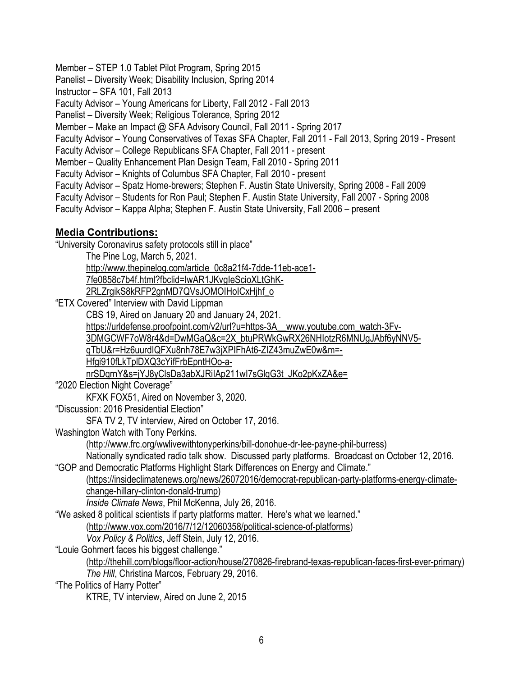Member – STEP 1.0 Tablet Pilot Program, Spring 2015

Panelist – Diversity Week; Disability Inclusion, Spring 2014

Instructor – SFA 101, Fall 2013

Faculty Advisor – Young Americans for Liberty, Fall 2012 - Fall 2013

Panelist – Diversity Week; Religious Tolerance, Spring 2012

Member – Make an Impact @ SFA Advisory Council, Fall 2011 - Spring 2017

Faculty Advisor – Young Conservatives of Texas SFA Chapter, Fall 2011 - Fall 2013, Spring 2019 - Present

Faculty Advisor – College Republicans SFA Chapter, Fall 2011 - present

Member – Quality Enhancement Plan Design Team, Fall 2010 - Spring 2011

Faculty Advisor – Knights of Columbus SFA Chapter, Fall 2010 - present

Faculty Advisor – Spatz Home-brewers; Stephen F. Austin State University, Spring 2008 - Fall 2009

Faculty Advisor – Students for Ron Paul; Stephen F. Austin State University, Fall 2007 - Spring 2008

Faculty Advisor – Kappa Alpha; Stephen F. Austin State University, Fall 2006 – present

# **Media Contributions:**

"University Coronavirus safety protocols still in place"

The Pine Log, March 5, 2021.

http://www.thepinelog.com/article\_0c8a21f4-7dde-11eb-ace1-

7fe0858c7b4f.html?fbclid=IwAR1JKvgIeScioXLtGhK-

2RLZrgikS8kRFP2gnMD7QVsJOMOIHoICxHjhf\_o

"ETX Covered" Interview with David Lippman

CBS 19, Aired on January 20 and January 24, 2021.

https://urldefense.proofpoint.com/v2/url?u=https-3A\_\_www.youtube.com\_watch-3Fv-

3DMGCWF7oW8r4&d=DwMGaQ&c=2X\_btuPRWkGwRX26NHIotzR6MNUgJAbf6yNNV5-

qTbU&r=Hz6uurdIQFXu8nh78E7w3jXPIFhAt6-ZIZ43muZwE0w&m=-

Hfgi910fLkTplDXQ3cYifFrbEpntHOo-a-

nrSDqrnY&s=jYJ8yClsDa3abXJRiIAp211wI7sGlqG3t\_JKo2pKxZA&e=

"2020 Election Night Coverage"

KFXK FOX51, Aired on November 3, 2020.

"Discussion: 2016 Presidential Election"

SFA TV 2, TV interview, Aired on October 17, 2016.

Washington Watch with Tony Perkins.

(http://www.frc.org/wwlivewithtonyperkins/bill-donohue-dr-lee-payne-phil-burress)

Nationally syndicated radio talk show. Discussed party platforms. Broadcast on October 12, 2016. "GOP and Democratic Platforms Highlight Stark Differences on Energy and Climate."

(https://insideclimatenews.org/news/26072016/democrat-republican-party-platforms-energy-climatechange-hillary-clinton-donald-trump)

*Inside Climate News*, Phil McKenna, July 26, 2016.

"We asked 8 political scientists if party platforms matter. Here's what we learned."

(http://www.vox.com/2016/7/12/12060358/political-science-of-platforms)

*Vox Policy & Politics*, Jeff Stein, July 12, 2016.

"Louie Gohmert faces his biggest challenge."

(http://thehill.com/blogs/floor-action/house/270826-firebrand-texas-republican-faces-first-ever-primary) *The Hill*, Christina Marcos, February 29, 2016.

"The Politics of Harry Potter"

KTRE, TV interview, Aired on June 2, 2015